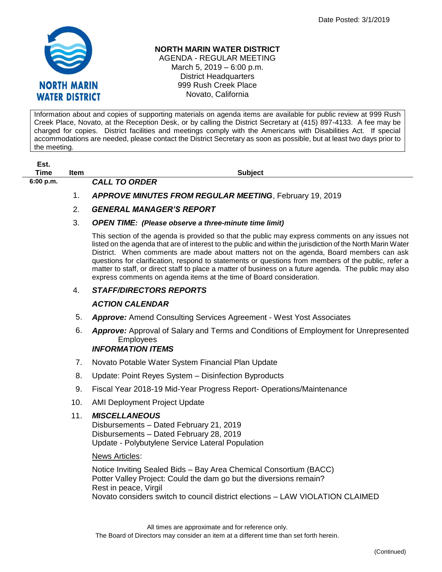

#### **NORTH MARIN WATER DISTRICT**

AGENDA - REGULAR MEETING March 5, 2019 – 6:00 p.m. District Headquarters 999 Rush Creek Place Novato, California

Information about and copies of supporting materials on agenda items are available for public review at 999 Rush Creek Place, Novato, at the Reception Desk, or by calling the District Secretary at (415) 897-4133. A fee may be charged for copies. District facilities and meetings comply with the Americans with Disabilities Act. If special accommodations are needed, please contact the District Secretary as soon as possible, but at least two days prior to the meeting.

| Est. |      |
|------|------|
| Time | lter |

**6:00 p.m.** *CALL TO ORDER* 

**Times Items in the Subject** Subject

1. *APPROVE MINUTES FROM REGULAR MEETING*, February 19, 2019

# 2. *GENERAL MANAGER'S REPORT*

#### 3. *OPEN TIME: (Please observe a three-minute time limit)*

This section of the agenda is provided so that the public may express comments on any issues not listed on the agenda that are of interest to the public and within the jurisdiction of the North Marin Water District. When comments are made about matters not on the agenda, Board members can ask questions for clarification, respond to statements or questions from members of the public, refer a matter to staff, or direct staff to place a matter of business on a future agenda. The public may also express comments on agenda items at the time of Board consideration.

## 4. *STAFF/DIRECTORS REPORTS*

## *ACTION CALENDAR*

- 5. *Approve:* Amend Consulting Services Agreement West Yost Associates
- 6. *Approve:* Approval of Salary and Terms and Conditions of Employment for Unrepresented **Employees** *INFORMATION ITEMS*
- 7. Novato Potable Water System Financial Plan Update
- 8. Update: Point Reyes System Disinfection Byproducts
- 9. Fiscal Year 2018-19 Mid-Year Progress Report- Operations/Maintenance
- 10. AMI Deployment Project Update
- 11. *MISCELLANEOUS*

Disbursements – Dated February 21, 2019 Disbursements – Dated February 28, 2019 Update - Polybutylene Service Lateral Population

## News Articles:

Notice Inviting Sealed Bids – Bay Area Chemical Consortium (BACC) Potter Valley Project: Could the dam go but the diversions remain? Rest in peace, Virgil Novato considers switch to council district elections – LAW VIOLATION CLAIMED